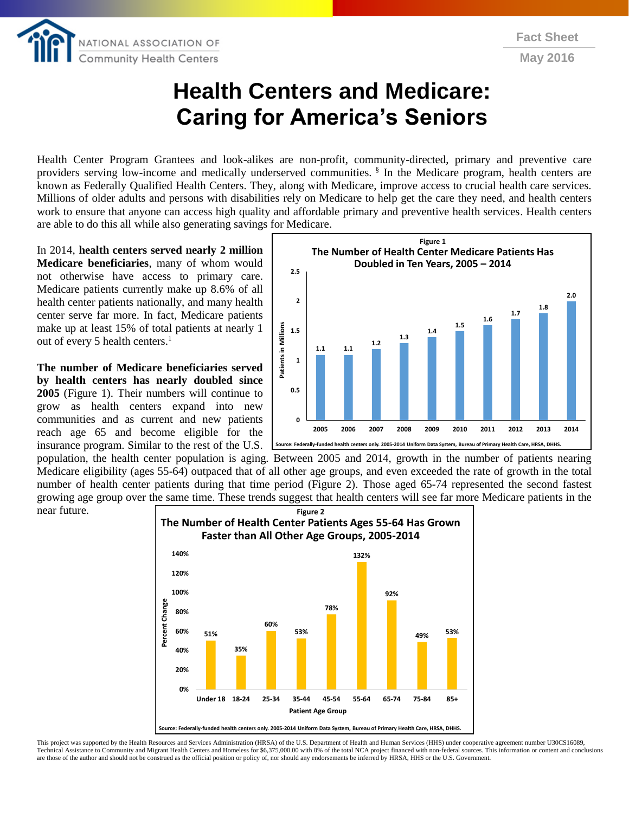

## **Health Centers and Medicare: Caring for America's Seniors**

Health Center Program Grantees and look-alikes are non-profit, community-directed, primary and preventive care providers serving low-income and medically underserved communities. <sup>§</sup> In the Medicare program, health centers are known as Federally Qualified Health Centers. They, along with Medicare, improve access to crucial health care services. Millions of older adults and persons with disabilities rely on Medicare to help get the care they need, and health centers work to ensure that anyone can access high quality and affordable primary and preventive health services. Health centers are able to do this all while also generating savings for Medicare.

In 2014, **health centers served nearly 2 million Medicare beneficiaries**, many of whom would not otherwise have access to primary care. Medicare patients currently make up 8.6% of all health center patients nationally, and many health center serve far more. In fact, Medicare patients make up at least 15% of total patients at nearly 1 out of every 5 health centers. 1

**The number of Medicare beneficiaries served by health centers has nearly doubled since 2005** (Figure 1). Their numbers will continue to grow as health centers expand into new communities and as current and new patients reach age 65 and become eligible for the insurance program. Similar to the rest of the U.S.



population, the health center population is aging. Between 2005 and 2014, growth in the number of patients nearing Medicare eligibility (ages 55-64) outpaced that of all other age groups, and even exceeded the rate of growth in the total number of health center patients during that time period (Figure 2). Those aged 65-74 represented the second fastest growing age group over the same time. These trends suggest that health centers will see far more Medicare patients in the near future.



This project was supported by the Health Resources and Services Administration (HRSA) of the U.S. Department of Health and Human Services (HHS) under cooperative agreement number U30CS16089, Technical Assistance to Community and Migrant Health Centers and Homeless for \$6,375,000.00 with 0% of the total NCA project financed with non-federal sources. This information or content and conclusions are those of the author and should not be construed as the official position or policy of, nor should any endorsements be inferred by HRSA, HHS or the U.S. Government.